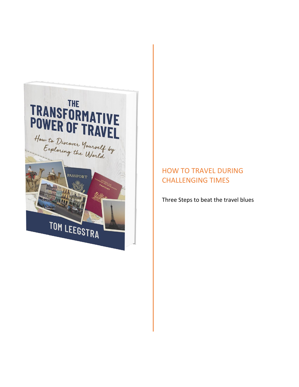

# HOW TO TRAVEL DURING CHALLENGING TIMES

Three Steps to beat the travel blues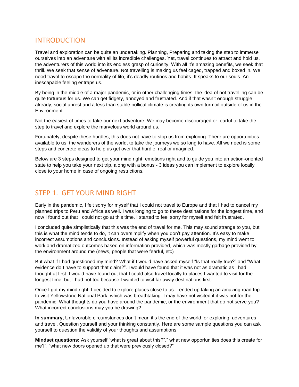### INTRODUCTION

Travel and exploration can be quite an undertaking. Planning, Preparing and taking the step to immerse ourselves into an adventure with all its incredible challenges. Yet, travel continues to attract and hold us, the adventurers of this world into its endless grasp of curiosity. With all it's amazing benefits, we seek that thrill. We seek that sense of adventure. Not travelling is making us feel caged, trapped and boxed in. We need travel to escape the normality of life, it's deadly routines and habits. It speaks to our souls. An inescapable feeling entraps us.

By being in the middle of a major pandemic, or in other challenging times, the idea of not travelling can be quite torturous for us. We can get fidgety, annoyed and frustrated. And if that wasn't enough struggle already, social unrest and a less than stable pollical climate is creating its own turmoil outside of us in the Environment.

Not the easiest of times to take our next adventure. We may become discouraged or fearful to take the step to travel and explore the marvelous world around us.

Fortunately, despite these hurdles, this does not have to stop us from exploring. There are opportunities available to us, the wanderers of the world, to take the journeys we so long to have. All we need is some steps and concrete ideas to help us get over that hurdle, real or imagined.

Below are 3 steps designed to get your mind right, emotions right and to guide you into an action-oriented state to help you take your next trip, along with a bonus - 3 ideas you can implement to explore locally close to your home in case of ongoing restrictions.

### STEP 1. GET YOUR MIND RIGHT

Early in the pandemic, I felt sorry for myself that I could not travel to Europe and that I had to cancel my planned trips to Peru and Africa as well. I was longing to go to these destinations for the longest time, and now I found out that I could not go at this time. I started to feel sorry for myself and felt frustrated.

I concluded quite simplistically that this was the end of travel for me. This may sound strange to you, but this is what the mind tends to do, it can oversimplify when you don't pay attention. It's easy to make incorrect assumptions and conclusions. Instead of asking myself powerful questions, my mind went to work and dramatized outcomes based on information provided, which was mostly garbage provided by the environment around me (news, people that were fearful, etc)

But what if I had questioned my mind? What if I would have asked myself "Is that really true?" and "What evidence do I have to support that claim?". I would have found that it was not as dramatic as I had thought at first. I would have found out that I could also travel locally to places I wanted to visit for the longest time, but I had not too because I wanted to visit far away destinations first.

Once I got my mind right, I decided to explore places close to us. I ended up taking an amazing road trip to visit Yellowstone National Park, which was breathtaking. I may have not visited if it was not for the pandemic. What thoughts do you have around the pandemic, or the environment that do not serve you? What incorrect conclusions may you be drawing?

**In summary,** Unfavorable circumstances don't mean it's the end of the world for exploring, adventures and travel. Question yourself and your thinking constantly. Here are some sample questions you can ask yourself to question the validity of your thoughts and assumptions.

**Mindset questions:** Ask yourself "what is great about this?"," what new opportunities does this create for me?", "what new doors opened up that were previously closed?"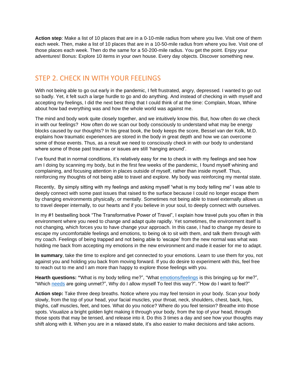**Action step**: Make a list of 10 places that are in a 0-10-mile radius from where you live. Visit one of them each week. Then, make a list of 10 places that are in a 10-50-mile radius from where you live. Visit one of those places each week. Then do the same for a 50-200-mile radius. You get the point. Enjoy your adventures! Bonus: Explore 10 items in your own house. Every day objects. Discover something new.

## STEP 2. CHECK IN WITH YOUR FEELINGS

With not being able to go out early in the pandemic, I felt frustrated, angry, depressed. I wanted to go out so badly. Yet, it felt such a large hurdle to go and do anything. And instead of checking in with myself and accepting my feelings, I did the next best thing that I could think of at the time: Complain, Moan, Whine about how bad everything was and how the whole world was against me.

The mind and body work quite closely together, and we intuitively know this. But, how often do we check in with our feelings? How often do we scan our body consciously to understand what may be energy blocks caused by our thoughts? In his great book, the body keeps the score, Bessel van der Kolk, M.D. explains how traumatic experiences are stored in the body in great depth and how we can overcome some of those events. Thus, as a result we need to consciously check in with our body to understand where some of those past traumas or issues are still 'hanging around'.

I've found that in normal conditions, it's relatively easy for me to check in with my feelings and see how am I doing by scanning my body, but in the first few weeks of the pandemic, I found myself whining and complaining, and focusing attention in places outside of myself, rather than inside myself. Thus, reinforcing my thoughts of not being able to travel and explore. My body was reinforcing my mental state.

Recently, By simply sitting with my feelings and asking myself "what is my body telling me" I was able to deeply connect with some past issues that raised to the surface because I could no longer escape them by changing environments physically, or mentally. Sometimes not being able to travel externally allows us to travel deeper internally, to our hearts and if you believe in your soul, to deeply connect with ourselves.

In my #1 bestselling book "The Transformative Power of Travel", I explain how travel puts you often in this environment where you need to change and adapt quite rapidly. Yet sometimes, the environment itself is not changing, which forces you to have change your approach. In this case, I had to change my desire to escape my uncomfortable feelings and emotions, to being ok to sit with them, and talk them through with my coach. Feelings of being trapped and not being able to 'escape' from the new normal was what was holding me back from accepting my emotions in the new environment and made it easier for me to adapt.

**In summary**, take the time to explore and get connected to your emotions. Learn to use them for you, not against you and holding you back from moving forward. If you do desire to experiment with this, feel free to reach out to me and I am more than happy to explore those feelings with you.

**Hearth questions: "**What is my body telling me?", "What [emotions/feelings](https://www.cnvc.org/training/resource/feelings-inventory) is this bringing up for me?", "Which [needs](https://www.cnvc.org/training/resource/needs-inventory) are going unmet?", Why do I allow myself To feel this way?". "How do I want to feel?"

**Action step:** Take three deep breaths. Notice where you may feel tension in your body. Scan your body slowly, from the top of your head, your facial muscles, your throat, neck, shoulders, chest, back, hips, thighs, calf muscles, feet, and toes. What do you notice? Where do you feel tension? Breathe into those spots. Visualize a bright golden light making it through your body, from the top of your head, through those spots that may be tensed, and release into it. Do this 3 times a day and see how your thoughts may shift along with it. When you are in a relaxed state, it's also easier to make decisions and take actions.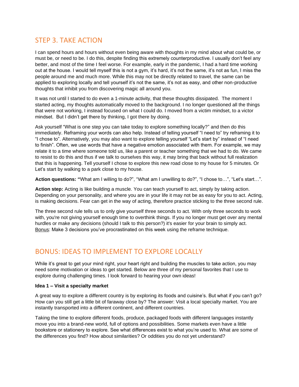## STEP 3. TAKE ACTION

I can spend hours and hours without even being aware with thoughts in my mind about what could be, or must be, or need to be. I do this, despite finding this extremely counterproductive. I usually don't feel any better, and most of the time I feel worse. For example, early in the pandemic, I had a hard time working out at the house. I would tell myself this is not a gym, it's hard, it's not the same, it's not as fun, I miss the people around me and much more. While this may not be directly related to travel, the same can be applied to exploring locally and tell yourself it's not the same, it's not as easy, and other non-productive thoughts that inhibit you from discovering magic all around you.

It was not until I started to do even a 1-minute activity, that these thoughts dissipated. The moment I started acting, my thoughts automatically moved to the background. I no longer questioned all the things that were not working, I instead focused on what I could do. I moved from a victim mindset, to a victor mindset. But I didn't get there by thinking, I got there by doing.

Ask yourself "What is one step you can take today to explore something locally?" and then do this immediately. Reframing your words can also help. Instead of telling yourself "I need to" try reframing it to "I chose to". Alternatively, you may also want to explore telling yourself "Let's start by" instead of "I need to finish". Often, we use words that have a negative emotion associated with them. For example, we may relate it to a time where someone told us, like a parent or teacher something that we had to do. We came to resist to do this and thus if we talk to ourselves this way, it may bring that back without full realization that this is happening. Tell yourself I chose to explore this new road close to my house for 5 minutes. Or Let's start by walking to a park close to my house.

**Action questions: "**What am I willing to do?", "What am I unwilling to do?", "I chose to…", "Let's start…".

**Action step:** Acting is like building a muscle. You can teach yourself to act, simply by taking action. Depending on your personality, and where you are in your life it may not be as easy for you to act. Acting, is making decisions. Fear can get in the way of acting, therefore practice sticking to the three second rule.

The three second rule tells us to only give yourself three seconds to act. With only three seconds to work with, you're not giving yourself enough time to overthink things. If you no longer must get over any mental hurdles or make any decisions (should I talk to this person?) it's easier for your brain to simply act. Bonus: Make 3 decisions you've procrastinated on this week using the reframe technique.

### BONUS: IDEAS TO IMPLEMENT TO EXPLORE LOCALLY

While it's great to get your mind right, your heart right and building the muscles to take action, you may need some motivation or ideas to get started. Below are three of my personal favorites that I use to explore during challenging times. I look forward to hearing your own ideas!

#### **Idea 1 – Visit a specialty market**

A great way to explore a different country is by exploring its foods and cuisine's. But what if you can't go? How can you still get a little bit of faraway close by? The answer: Visit a local specialty market. You are instantly transported into a different continent, and different countries.

Taking the time to explore different foods, produce, packaged foods with different languages instantly move you into a brand-new world, full of options and possibilities. Some markets even have a little bookstore or stationery to explore. See what differences exist to what you're used to. What are some of the differences you find? How about similarities? Or oddities you do not yet understand?